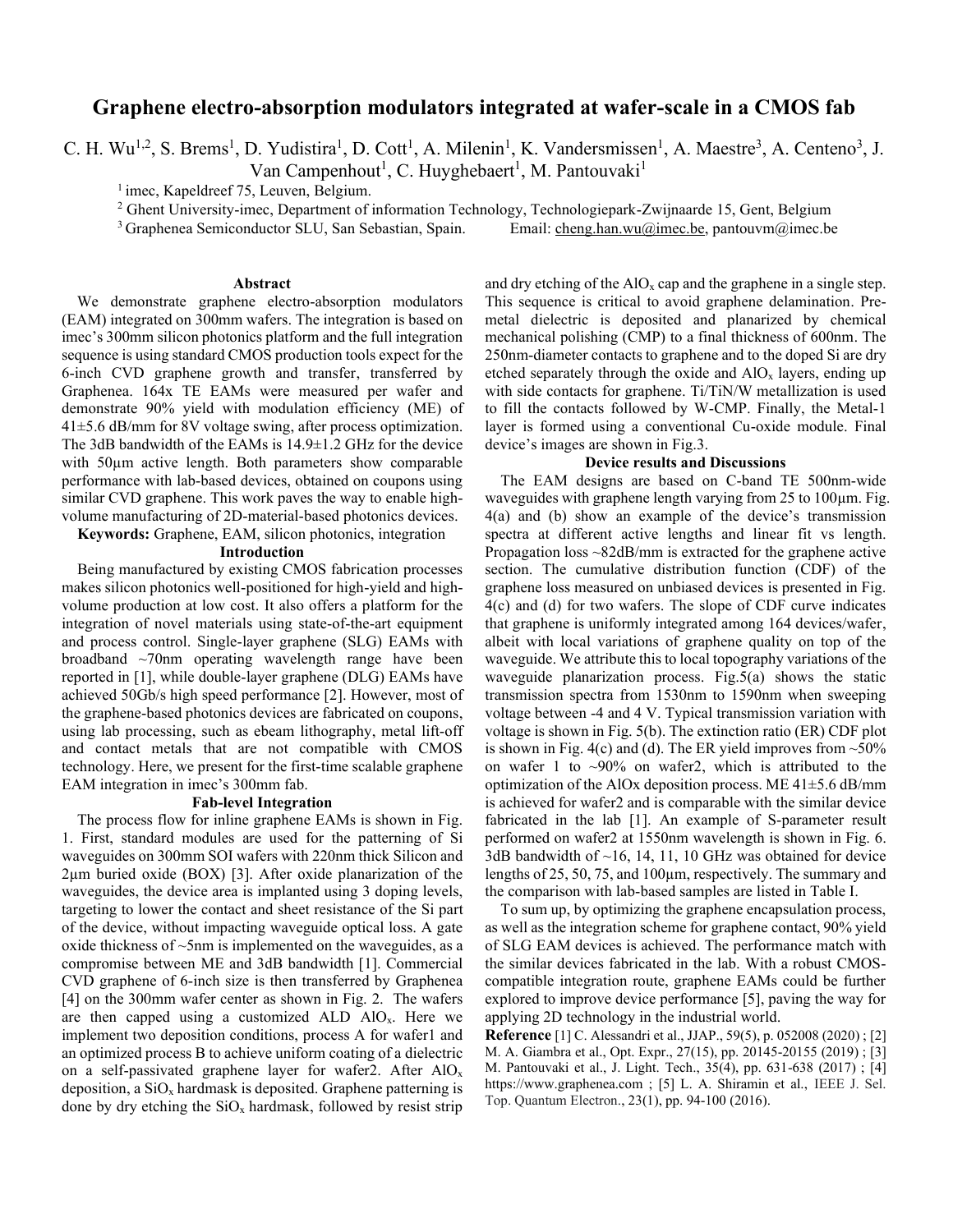# **Graphene electro-absorption modulators integrated at wafer-scale in a CMOS fab**

C. H. Wu<sup>1,2</sup>, S. Brems<sup>1</sup>, D. Yudistira<sup>1</sup>, D. Cott<sup>1</sup>, A. Milenin<sup>1</sup>, K. Vandersmissen<sup>1</sup>, A. Maestre<sup>3</sup>, A. Centeno<sup>3</sup>, J.

Van Campenhout<sup>1</sup>, C. Huyghebaert<sup>1</sup>, M. Pantouvaki<sup>1</sup>

<sup>1</sup> imec, Kapeldreef 75, Leuven, Belgium.

<sup>2</sup> Ghent University-imec, Department of information Technology, Technologiepark-Zwijnaarde 15, Gent, Belgium

<sup>3</sup> Graphenea Semiconductor SLU, San Sebastian, Spain. Email: cheng.han.wu@imec.be, pantouvm@imec.be

## **Abstract**

We demonstrate graphene electro-absorption modulators (EAM) integrated on 300mm wafers. The integration is based on imec's 300mm silicon photonics platform and the full integration sequence is using standard CMOS production tools expect for the 6-inch CVD graphene growth and transfer, transferred by Graphenea. 164x TE EAMs were measured per wafer and demonstrate 90% yield with modulation efficiency (ME) of 41±5.6 dB/mm for 8V voltage swing, after process optimization. The 3dB bandwidth of the EAMs is 14.9±1.2 GHz for the device with 50µm active length. Both parameters show comparable performance with lab-based devices, obtained on coupons using similar CVD graphene. This work paves the way to enable highvolume manufacturing of 2D-material-based photonics devices.

**Keywords:** Graphene, EAM, silicon photonics, integration

#### **Introduction**

Being manufactured by existing CMOS fabrication processes makes silicon photonics well-positioned for high-yield and highvolume production at low cost. It also offers a platform for the integration of novel materials using state-of-the-art equipment and process control. Single-layer graphene (SLG) EAMs with broadband ~70nm operating wavelength range have been reported in [1], while double-layer graphene (DLG) EAMs have achieved 50Gb/s high speed performance [2]. However, most of the graphene-based photonics devices are fabricated on coupons, using lab processing, such as ebeam lithography, metal lift-off and contact metals that are not compatible with CMOS technology. Here, we present for the first-time scalable graphene EAM integration in imec's 300mm fab.

### **Fab-level Integration**

The process flow for inline graphene EAMs is shown in Fig. 1. First, standard modules are used for the patterning of Si waveguides on 300mm SOI wafers with 220nm thick Silicon and 2µm buried oxide (BOX) [3]. After oxide planarization of the waveguides, the device area is implanted using 3 doping levels, targeting to lower the contact and sheet resistance of the Si part of the device, without impacting waveguide optical loss. A gate oxide thickness of ~5nm is implemented on the waveguides, as a compromise between ME and 3dB bandwidth [1]. Commercial CVD graphene of 6-inch size is then transferred by Graphenea [4] on the 300mm wafer center as shown in Fig. 2. The wafers are then capped using a customized ALD  $AIO<sub>x</sub>$ . Here we implement two deposition conditions, process A for wafer1 and an optimized process B to achieve uniform coating of a dielectric on a self-passivated graphene layer for wafer2. After  $AIO_x$ deposition, a  $SiO_x$  hardmask is deposited. Graphene patterning is done by dry etching the  $SiO<sub>x</sub>$  hardmask, followed by resist strip

and dry etching of the  $AIO<sub>x</sub>$  cap and the graphene in a single step. This sequence is critical to avoid graphene delamination. Premetal dielectric is deposited and planarized by chemical mechanical polishing (CMP) to a final thickness of 600nm. The 250nm-diameter contacts to graphene and to the doped Si are dry etched separately through the oxide and  $AIO<sub>x</sub>$  layers, ending up with side contacts for graphene. Ti/TiN/W metallization is used to fill the contacts followed by W-CMP. Finally, the Metal-1 layer is formed using a conventional Cu-oxide module. Final device's images are shown in Fig.3.

#### **Device results and Discussions**

The EAM designs are based on C-band TE 500nm-wide waveguides with graphene length varying from 25 to 100µm. Fig. 4(a) and (b) show an example of the device's transmission spectra at different active lengths and linear fit vs length. Propagation loss ~82dB/mm is extracted for the graphene active section. The cumulative distribution function (CDF) of the graphene loss measured on unbiased devices is presented in Fig. 4(c) and (d) for two wafers. The slope of CDF curve indicates that graphene is uniformly integrated among 164 devices/wafer, albeit with local variations of graphene quality on top of the waveguide. We attribute this to local topography variations of the waveguide planarization process. Fig.5(a) shows the static transmission spectra from 1530nm to 1590nm when sweeping voltage between -4 and 4 V. Typical transmission variation with voltage is shown in Fig. 5(b). The extinction ratio (ER) CDF plot is shown in Fig. 4(c) and (d). The ER yield improves from  $\sim$  50% on wafer 1 to  $\sim$ 90% on wafer2, which is attributed to the optimization of the AlOx deposition process. ME  $41\pm5.6$  dB/mm is achieved for wafer2 and is comparable with the similar device fabricated in the lab [1]. An example of S-parameter result performed on wafer2 at 1550nm wavelength is shown in Fig. 6. 3dB bandwidth of  $~16$ , 14, 11, 10 GHz was obtained for device lengths of 25, 50, 75, and 100µm, respectively. The summary and the comparison with lab-based samples are listed in Table I.

To sum up, by optimizing the graphene encapsulation process, as well as the integration scheme for graphene contact, 90% yield of SLG EAM devices is achieved. The performance match with the similar devices fabricated in the lab. With a robust CMOScompatible integration route, graphene EAMs could be further explored to improve device performance [5], paving the way for applying 2D technology in the industrial world.

**Reference** [1] C. Alessandri et al., JJAP., 59(5), p. 052008 (2020) ; [2] M. A. Giambra et al., Opt. Expr., 27(15), pp. 20145-20155 (2019) ; [3] M. Pantouvaki et al., J. Light. Tech., 35(4), pp. 631-638 (2017) ; [4] https://www.graphenea.com ; [5] L. A. Shiramin et al., IEEE J. Sel. Top. Quantum Electron., 23(1), pp. 94-100 (2016).